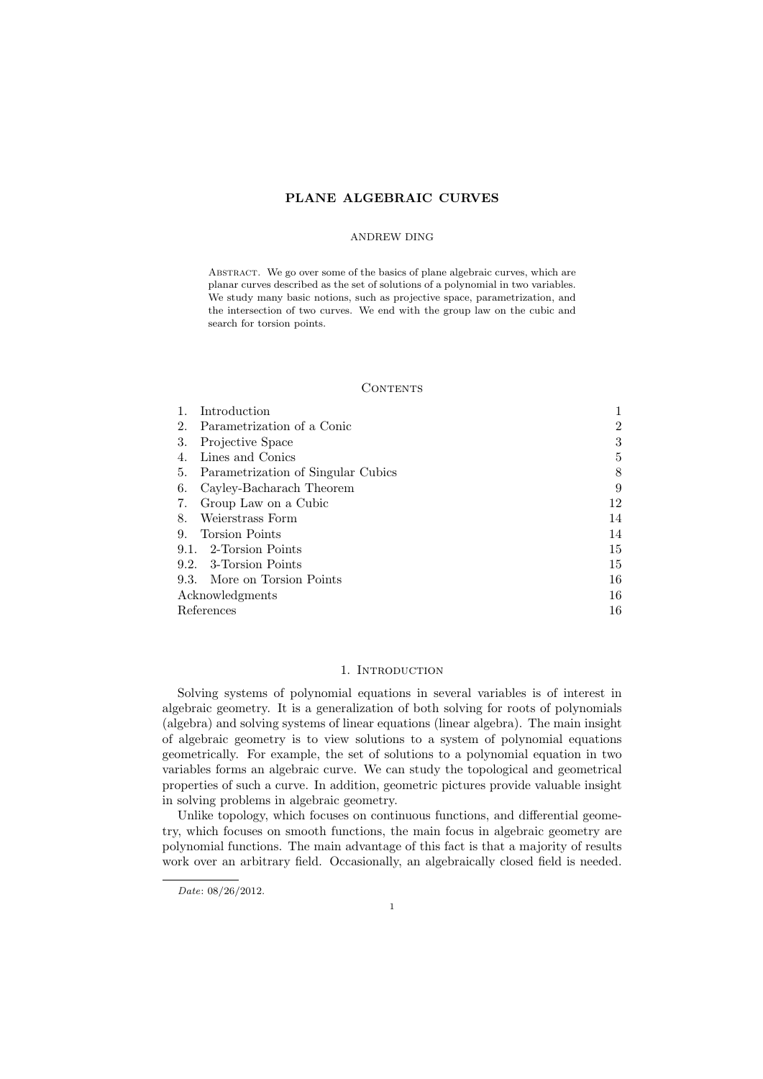# PLANE ALGEBRAIC CURVES

## ANDREW DING

Abstract. We go over some of the basics of plane algebraic curves, which are planar curves described as the set of solutions of a polynomial in two variables. We study many basic notions, such as projective space, parametrization, and the intersection of two curves. We end with the group law on the cubic and search for torsion points.

## **CONTENTS**

| Introduction                             |                |
|------------------------------------------|----------------|
| Parametrization of a Conic<br>2.         | $\overline{2}$ |
| 3.<br>Projective Space                   | 3              |
| Lines and Conics                         | 5              |
| Parametrization of Singular Cubics<br>5. | 8              |
| Cayley-Bacharach Theorem<br>6.           | 9              |
| Group Law on a Cubic<br>7.               | 12             |
| Weierstrass Form<br>8.                   | 14             |
| <b>Torsion Points</b><br>9.              | 14             |
| 9.1. 2-Torsion Points                    | 15             |
| 9.2. 3-Torsion Points                    | 15             |
| 9.3. More on Torsion Points              | 16             |
| Acknowledgments                          | 16             |
| References                               | 16             |

# 1. INTRODUCTION

Solving systems of polynomial equations in several variables is of interest in algebraic geometry. It is a generalization of both solving for roots of polynomials (algebra) and solving systems of linear equations (linear algebra). The main insight of algebraic geometry is to view solutions to a system of polynomial equations geometrically. For example, the set of solutions to a polynomial equation in two variables forms an algebraic curve. We can study the topological and geometrical properties of such a curve. In addition, geometric pictures provide valuable insight in solving problems in algebraic geometry.

Unlike topology, which focuses on continuous functions, and differential geometry, which focuses on smooth functions, the main focus in algebraic geometry are polynomial functions. The main advantage of this fact is that a majority of results work over an arbitrary field. Occasionally, an algebraically closed field is needed.

Date: 08/26/2012.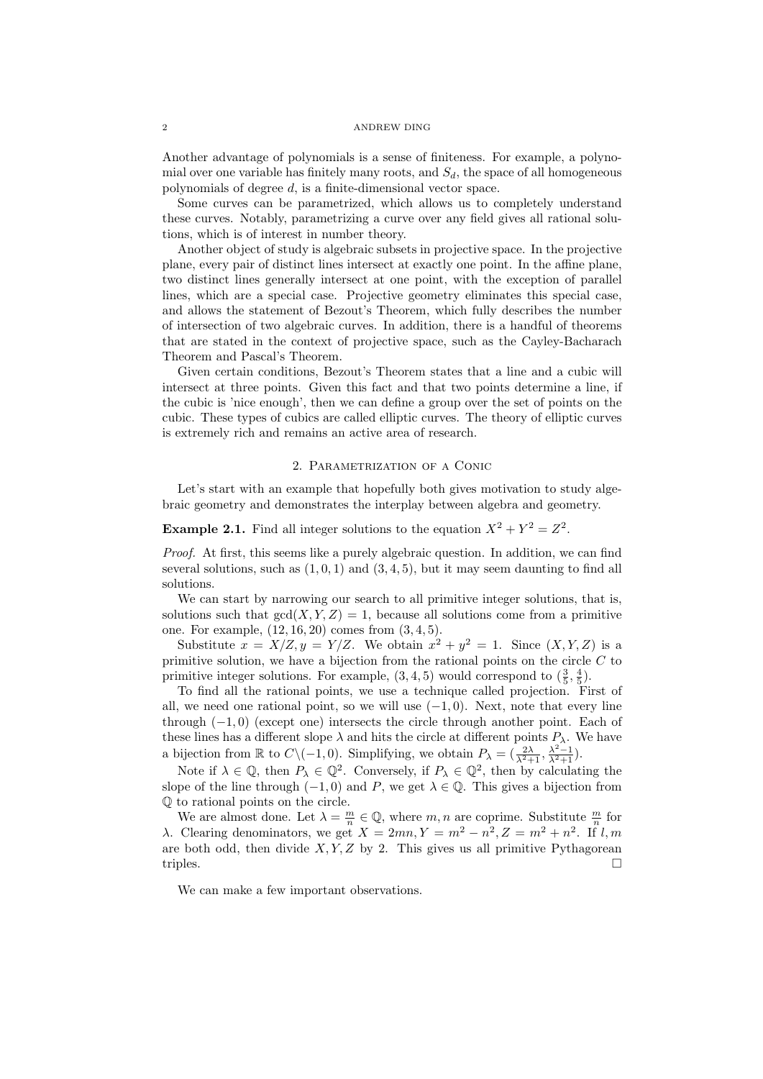Another advantage of polynomials is a sense of finiteness. For example, a polynomial over one variable has finitely many roots, and  $S_d$ , the space of all homogeneous polynomials of degree d, is a finite-dimensional vector space.

Some curves can be parametrized, which allows us to completely understand these curves. Notably, parametrizing a curve over any field gives all rational solutions, which is of interest in number theory.

Another object of study is algebraic subsets in projective space. In the projective plane, every pair of distinct lines intersect at exactly one point. In the affine plane, two distinct lines generally intersect at one point, with the exception of parallel lines, which are a special case. Projective geometry eliminates this special case, and allows the statement of Bezout's Theorem, which fully describes the number of intersection of two algebraic curves. In addition, there is a handful of theorems that are stated in the context of projective space, such as the Cayley-Bacharach Theorem and Pascal's Theorem.

Given certain conditions, Bezout's Theorem states that a line and a cubic will intersect at three points. Given this fact and that two points determine a line, if the cubic is 'nice enough', then we can define a group over the set of points on the cubic. These types of cubics are called elliptic curves. The theory of elliptic curves is extremely rich and remains an active area of research.

### 2. Parametrization of a Conic

Let's start with an example that hopefully both gives motivation to study algebraic geometry and demonstrates the interplay between algebra and geometry.

# **Example 2.1.** Find all integer solutions to the equation  $X^2 + Y^2 = Z^2$ .

Proof. At first, this seems like a purely algebraic question. In addition, we can find several solutions, such as  $(1, 0, 1)$  and  $(3, 4, 5)$ , but it may seem daunting to find all solutions.

We can start by narrowing our search to all primitive integer solutions, that is, solutions such that  $gcd(X, Y, Z) = 1$ , because all solutions come from a primitive one. For example, (12, 16, 20) comes from (3, 4, 5).

Substitute  $x = X/Z, y = Y/Z$ . We obtain  $x^2 + y^2 = 1$ . Since  $(X, Y, Z)$  is a primitive solution, we have a bijection from the rational points on the circle C to primitive integer solutions. For example,  $(3, 4, 5)$  would correspond to  $(\frac{3}{5}, \frac{4}{5})$ .

To find all the rational points, we use a technique called projection. First of all, we need one rational point, so we will use  $(-1, 0)$ . Next, note that every line through  $(-1,0)$  (except one) intersects the circle through another point. Each of these lines has a different slope  $\lambda$  and hits the circle at different points  $P_{\lambda}$ . We have a bijection from  $\mathbb R$  to  $C \setminus (-1,0)$ . Simplifying, we obtain  $P_{\lambda} = \left(\frac{2\lambda}{\lambda^2+1}, \frac{\lambda^2-1}{\lambda^2+1}\right)$ .

Note if  $\lambda \in \mathbb{Q}$ , then  $P_{\lambda} \in \mathbb{Q}^2$ . Conversely, if  $P_{\lambda} \in \mathbb{Q}^2$ , then by calculating the slope of the line through  $(-1, 0)$  and P, we get  $\lambda \in \mathbb{Q}$ . This gives a bijection from Q to rational points on the circle.

We are almost done. Let  $\lambda = \frac{m}{n} \in \mathbb{Q}$ , where  $m, n$  are coprime. Substitute  $\frac{m}{n}$  for λ. Clearing denominators, we get  $X = 2mn, Y = m^2 - n^2, Z = m^2 + n^2$ . If l,m are both odd, then divide  $X, Y, Z$  by 2. This gives us all primitive Pythagorean triples.

We can make a few important observations.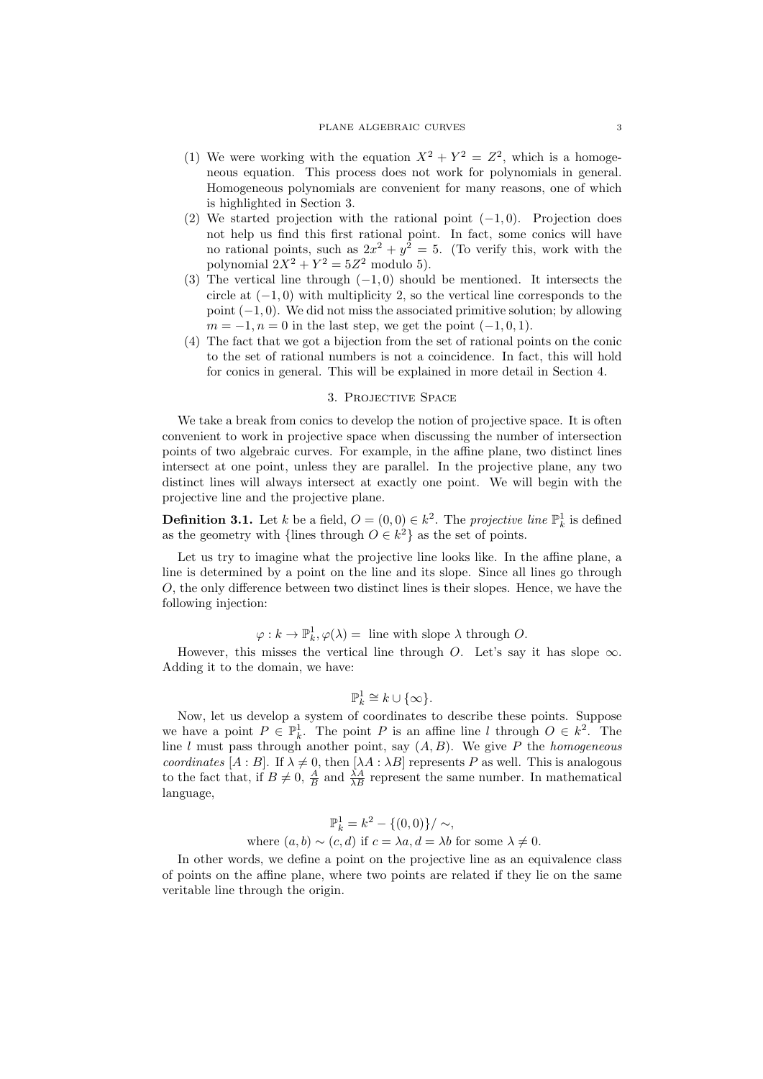### PLANE ALGEBRAIC CURVES 3

- (1) We were working with the equation  $X^2 + Y^2 = Z^2$ , which is a homogeneous equation. This process does not work for polynomials in general. Homogeneous polynomials are convenient for many reasons, one of which is highlighted in Section 3.
- (2) We started projection with the rational point  $(-1, 0)$ . Projection does not help us find this first rational point. In fact, some conics will have no rational points, such as  $2x^2 + y^2 = 5$ . (To verify this, work with the polynomial  $2X^2 + Y^2 = 5Z^2$  modulo 5).
- (3) The vertical line through  $(-1, 0)$  should be mentioned. It intersects the circle at  $(-1,0)$  with multiplicity 2, so the vertical line corresponds to the point  $(-1, 0)$ . We did not miss the associated primitive solution; by allowing  $m = -1, n = 0$  in the last step, we get the point  $(-1, 0, 1)$ .
- (4) The fact that we got a bijection from the set of rational points on the conic to the set of rational numbers is not a coincidence. In fact, this will hold for conics in general. This will be explained in more detail in Section 4.

## 3. Projective Space

We take a break from conics to develop the notion of projective space. It is often convenient to work in projective space when discussing the number of intersection points of two algebraic curves. For example, in the affine plane, two distinct lines intersect at one point, unless they are parallel. In the projective plane, any two distinct lines will always intersect at exactly one point. We will begin with the projective line and the projective plane.

**Definition 3.1.** Let k be a field,  $O = (0,0) \in k^2$ . The projective line  $\mathbb{P}^1_k$  is defined as the geometry with {lines through  $O \in k^2$ } as the set of points.

Let us try to imagine what the projective line looks like. In the affine plane, a line is determined by a point on the line and its slope. Since all lines go through O, the only difference between two distinct lines is their slopes. Hence, we have the following injection:

 $\varphi: k \to \mathbb{P}^1_k$ ,  $\varphi(\lambda) = \text{line with slope } \lambda \text{ through } O.$ 

However, this misses the vertical line through O. Let's say it has slope  $\infty$ . Adding it to the domain, we have:

$$
\mathbb{P}^1_k \cong k \cup \{\infty\}.
$$

Now, let us develop a system of coordinates to describe these points. Suppose we have a point  $P \in \mathbb{P}^1_k$ . The point P is an affine line l through  $O \in k^2$ . The line  $l$  must pass through another point, say  $(A, B)$ . We give P the homogeneous coordinates  $[A : B]$ . If  $\lambda \neq 0$ , then  $[\lambda A : \lambda B]$  represents P as well. This is analogous to the fact that, if  $B \neq 0$ ,  $\frac{A}{B}$  and  $\frac{\lambda A}{\lambda B}$  represent the same number. In mathematical language,

$$
\mathbb{P}_k^1 = k^2 - \{(0,0)\} / \sim,
$$
  
where  $(a, b) \sim (c, d)$  if  $c = \lambda a, d = \lambda b$  for some  $\lambda \neq 0$ .

In other words, we define a point on the projective line as an equivalence class of points on the affine plane, where two points are related if they lie on the same veritable line through the origin.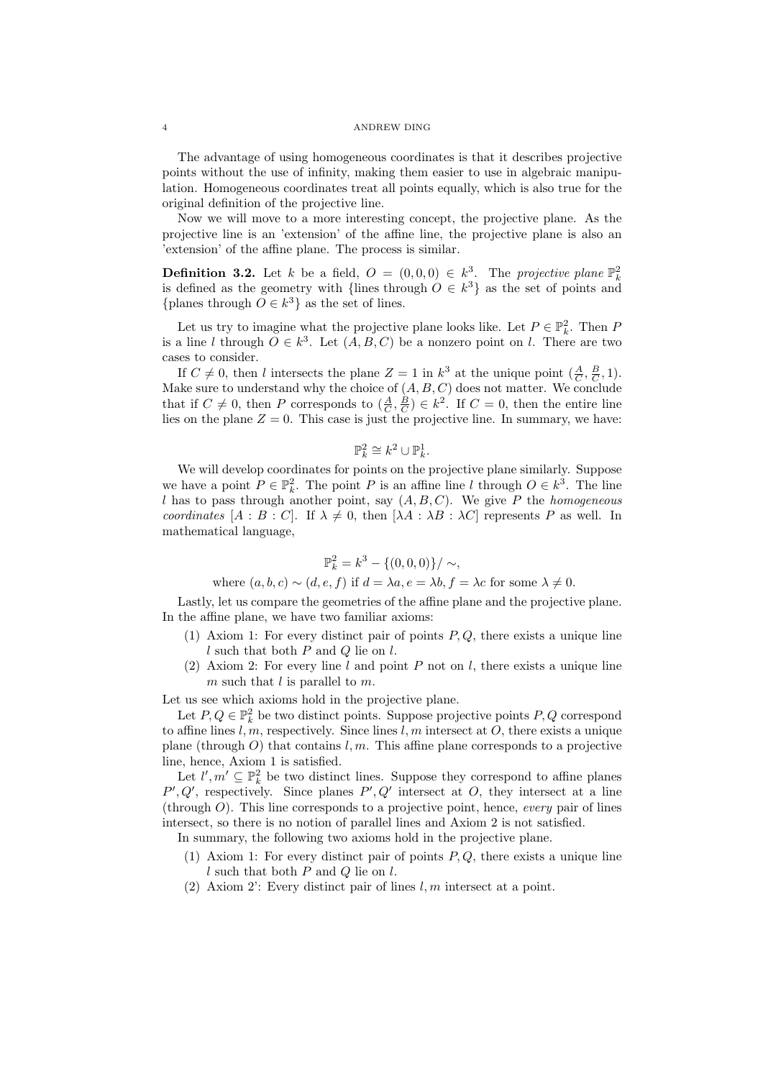The advantage of using homogeneous coordinates is that it describes projective points without the use of infinity, making them easier to use in algebraic manipulation. Homogeneous coordinates treat all points equally, which is also true for the original definition of the projective line.

Now we will move to a more interesting concept, the projective plane. As the projective line is an 'extension' of the affine line, the projective plane is also an 'extension' of the affine plane. The process is similar.

**Definition 3.2.** Let k be a field,  $O = (0,0,0) \in k^3$ . The projective plane  $\mathbb{P}_k^2$ is defined as the geometry with {lines through  $O \in k^3$ } as the set of points and {planes through  $O \in k^3$ } as the set of lines.

Let us try to imagine what the projective plane looks like. Let  $P \in \mathbb{P}_k^2$ . Then P is a line l through  $O \in k^3$ . Let  $(A, B, C)$  be a nonzero point on l. There are two cases to consider.

If  $C \neq 0$ , then l intersects the plane  $Z = 1$  in  $k^3$  at the unique point  $(\frac{A}{C}, \frac{B}{C}, 1)$ . Make sure to understand why the choice of  $(A, B, C)$  does not matter. We conclude that if  $C \neq 0$ , then P corresponds to  $(\frac{A}{C}, \frac{B}{C}) \in k^2$ . If  $C = 0$ , then the entire line lies on the plane  $Z = 0$ . This case is just the projective line. In summary, we have:

$$
\mathbb{P}^2_k\cong k^2\cup \mathbb{P}^1_k.
$$

We will develop coordinates for points on the projective plane similarly. Suppose we have a point  $P \in \mathbb{P}_k^2$ . The point P is an affine line l through  $O \in k^3$ . The line l has to pass through another point, say  $(A, B, C)$ . We give P the homogeneous coordinates  $[A : B : C]$ . If  $\lambda \neq 0$ , then  $[\lambda A : \lambda B : \lambda C]$  represents P as well. In mathematical language,

$$
\mathbb{P}_k^2 = k^3 - \{(0,0,0)\} / \sim,
$$

where  $(a, b, c) \sim (d, e, f)$  if  $d = \lambda a, e = \lambda b, f = \lambda c$  for some  $\lambda \neq 0$ .

Lastly, let us compare the geometries of the affine plane and the projective plane. In the affine plane, we have two familiar axioms:

- (1) Axiom 1: For every distinct pair of points  $P, Q$ , there exists a unique line  $l$  such that both  $P$  and  $Q$  lie on  $l$ .
- (2) Axiom 2: For every line  $l$  and point  $P$  not on  $l$ , there exists a unique line m such that  $l$  is parallel to m.

Let us see which axioms hold in the projective plane.

Let  $P, Q \in \mathbb{P}^2_k$  be two distinct points. Suppose projective points  $P, Q$  correspond to affine lines  $l, m$ , respectively. Since lines  $l, m$  intersect at  $O$ , there exists a unique plane (through  $O$ ) that contains  $l, m$ . This affine plane corresponds to a projective line, hence, Axiom 1 is satisfied.

Let  $l', m' \subseteq \mathbb{P}^2_k$  be two distinct lines. Suppose they correspond to affine planes  $P', Q'$ , respectively. Since planes  $P', Q'$  intersect at O, they intersect at a line (through  $O$ ). This line corresponds to a projective point, hence, *every* pair of lines intersect, so there is no notion of parallel lines and Axiom 2 is not satisfied.

In summary, the following two axioms hold in the projective plane.

- (1) Axiom 1: For every distinct pair of points  $P, Q$ , there exists a unique line  $l$  such that both  $P$  and  $Q$  lie on  $l$ .
- (2) Axiom 2: Every distinct pair of lines  $l, m$  intersect at a point.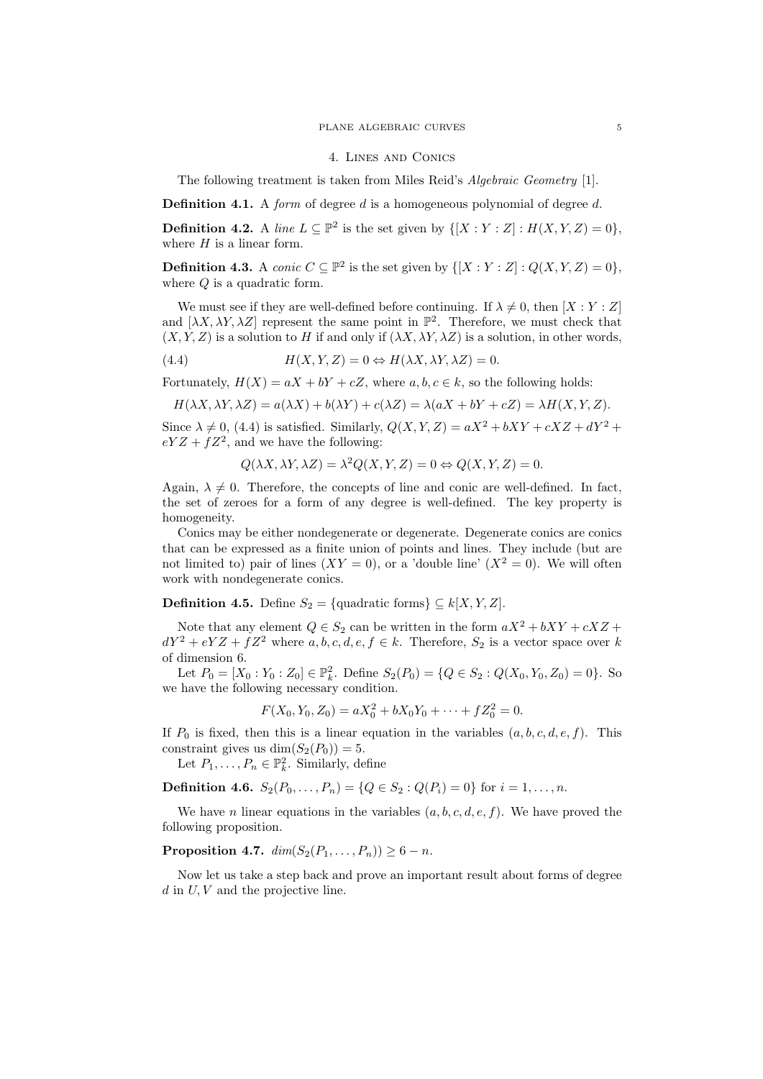#### PLANE ALGEBRAIC CURVES 5

### 4. Lines and Conics

The following treatment is taken from Miles Reid's Algebraic Geometry [1].

**Definition 4.1.** A form of degree d is a homogeneous polynomial of degree d.

**Definition 4.2.** A line  $L \subseteq \mathbb{P}^2$  is the set given by  $\{[X : Y : Z] : H(X, Y, Z) = 0\},\$ where  $H$  is a linear form.

**Definition 4.3.** A *conic*  $C \subseteq \mathbb{P}^2$  is the set given by  $\{[X : Y : Z] : Q(X, Y, Z) = 0\},\$ where  $Q$  is a quadratic form.

We must see if they are well-defined before continuing. If  $\lambda \neq 0$ , then  $[X : Y : Z]$ and  $[\lambda X, \lambda Y, \lambda Z]$  represent the same point in  $\mathbb{P}^2$ . Therefore, we must check that  $(X, Y, Z)$  is a solution to H if and only if  $(\lambda X, \lambda Y, \lambda Z)$  is a solution, in other words,

(4.4) 
$$
H(X, Y, Z) = 0 \Leftrightarrow H(\lambda X, \lambda Y, \lambda Z) = 0.
$$

Fortunately,  $H(X) = aX + bY + cZ$ , where  $a, b, c \in k$ , so the following holds:

$$
H(\lambda X, \lambda Y, \lambda Z) = a(\lambda X) + b(\lambda Y) + c(\lambda Z) = \lambda(aX + bY + cZ) = \lambda H(X, Y, Z).
$$

Since  $\lambda \neq 0$ , (4.4) is satisfied. Similarly,  $Q(X, Y, Z) = aX^2 + bXY + cXZ + dY^2 +$  $eYZ + fZ^2$ , and we have the following:

$$
Q(\lambda X, \lambda Y, \lambda Z) = \lambda^2 Q(X, Y, Z) = 0 \Leftrightarrow Q(X, Y, Z) = 0.
$$

Again,  $\lambda \neq 0$ . Therefore, the concepts of line and conic are well-defined. In fact, the set of zeroes for a form of any degree is well-defined. The key property is homogeneity.

Conics may be either nondegenerate or degenerate. Degenerate conics are conics that can be expressed as a finite union of points and lines. They include (but are not limited to) pair of lines  $(XY = 0)$ , or a 'double line'  $(X^2 = 0)$ . We will often work with nondegenerate conics.

**Definition 4.5.** Define  $S_2 = \{$ quadratic forms $\} \subseteq k[X, Y, Z]$ .

Note that any element  $Q \in S_2$  can be written in the form  $aX^2 + bXY + cXZ + cY$  $dY^2 + eYZ + fZ^2$  where  $a, b, c, d, e, f \in k$ . Therefore,  $S_2$  is a vector space over k of dimension 6.

Let  $P_0 = [X_0 : Y_0 : Z_0] \in \mathbb{P}_k^2$ . Define  $S_2(P_0) = \{Q \in S_2 : Q(X_0, Y_0, Z_0) = 0\}$ . So we have the following necessary condition.

$$
F(X_0, Y_0, Z_0) = aX_0^2 + bX_0Y_0 + \dots + fZ_0^2 = 0.
$$

If  $P_0$  is fixed, then this is a linear equation in the variables  $(a, b, c, d, e, f)$ . This constraint gives us  $\dim(S_2(P_0)) = 5$ .

Let  $P_1, \ldots, P_n \in \mathbb{P}_k^2$ . Similarly, define

**Definition 4.6.**  $S_2(P_0, \ldots, P_n) = \{Q \in S_2 : Q(P_i) = 0\}$  for  $i = 1, \ldots, n$ .

We have *n* linear equations in the variables  $(a, b, c, d, e, f)$ . We have proved the following proposition.

# **Proposition 4.7.**  $dim(S_2(P_1, ..., P_n)) \ge 6 - n$ .

Now let us take a step back and prove an important result about forms of degree  $d$  in  $U, V$  and the projective line.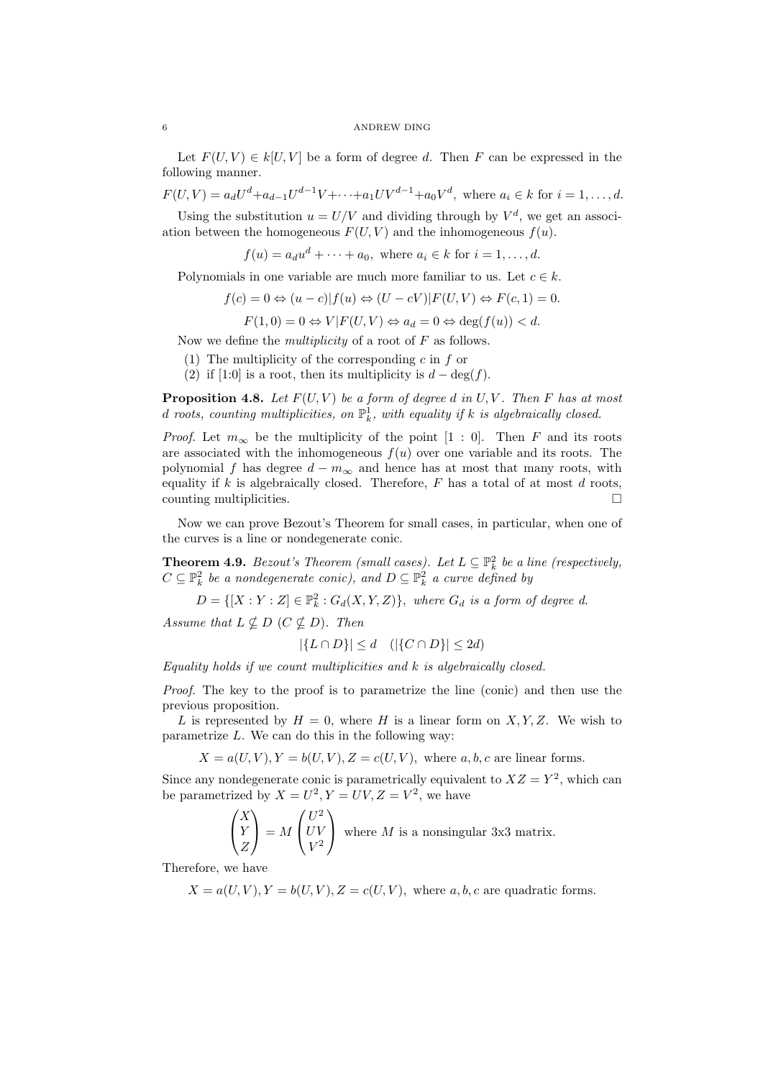Let  $F(U, V) \in k[U, V]$  be a form of degree d. Then F can be expressed in the following manner.

 $F(U,V) = a_d U^d + a_{d-1} U^{d-1} V + \cdots + a_1 U V^{d-1} + a_0 V^d$ , where  $a_i \in k$  for  $i = 1, \ldots, d$ .

Using the substitution  $u = U/V$  and dividing through by  $V^d$ , we get an association between the homogeneous  $F(U, V)$  and the inhomogeneous  $f(u)$ .

 $f(u) = a_d u^d + \cdots + a_0$ , where  $a_i \in k$  for  $i = 1, \ldots, d$ .

Polynomials in one variable are much more familiar to us. Let  $c \in k$ .

$$
f(c) = 0 \Leftrightarrow (u - c)|f(u) \Leftrightarrow (U - cV)|F(U, V) \Leftrightarrow F(c, 1) = 0.
$$

$$
F(1,0) = 0 \Leftrightarrow V|F(U,V) \Leftrightarrow a_d = 0 \Leftrightarrow \deg(f(u)) < d.
$$

Now we define the *multiplicity* of a root of  $F$  as follows.

- (1) The multiplicity of the corresponding c in f or
- (2) if [1:0] is a root, then its multiplicity is  $d \deg(f)$ .

**Proposition 4.8.** Let  $F(U, V)$  be a form of degree d in  $U, V$ . Then F has at most d roots, counting multiplicities, on  $\mathbb{P}^1_k$ , with equality if k is algebraically closed.

*Proof.* Let  $m_{\infty}$  be the multiplicity of the point [1 : 0]. Then F and its roots are associated with the inhomogeneous  $f(u)$  over one variable and its roots. The polynomial f has degree  $d - m_{\infty}$  and hence has at most that many roots, with equality if k is algebraically closed. Therefore,  $F$  has a total of at most  $d$  roots,  $\Box$  counting multiplicities.  $\Box$ 

Now we can prove Bezout's Theorem for small cases, in particular, when one of the curves is a line or nondegenerate conic.

**Theorem 4.9.** Bezout's Theorem (small cases). Let  $L \subseteq \mathbb{P}^2_k$  be a line (respectively,  $C \subseteq \mathbb{P}^2_k$  be a nondegenerate conic), and  $D \subseteq \mathbb{P}^2_k$  a curve defined by

 $D = \{ [X : Y : Z] \in \mathbb{P}_k^2 : G_d(X, Y, Z) \},$  where  $G_d$  is a form of degree d.

Assume that  $L \nsubseteq D$  ( $C \nsubseteq D$ ). Then

$$
|\{L \cap D\}| \le d \quad (|\{C \cap D\}| \le 2d)
$$

 $Equality$  holds if we count multiplicities and  $k$  is algebraically closed.

Proof. The key to the proof is to parametrize the line (conic) and then use the previous proposition.

L is represented by  $H = 0$ , where H is a linear form on X, Y, Z. We wish to parametrize  $L$ . We can do this in the following way:

 $X = a(U, V), Y = b(U, V), Z = c(U, V),$  where a, b, c are linear forms.

Since any nondegenerate conic is parametrically equivalent to  $XZ = Y^2$ , which can be parametrized by  $X = U^2, Y = UV, Z = V^2$ , we have

$$
\begin{pmatrix} X \\ Y \\ Z \end{pmatrix} = M \begin{pmatrix} U^2 \\ UV \\ V^2 \end{pmatrix}
$$
 where *M* is a nonsingular 3x3 matrix.

Therefore, we have

 $X = a(U, V), Y = b(U, V), Z = c(U, V),$  where a, b, c are quadratic forms.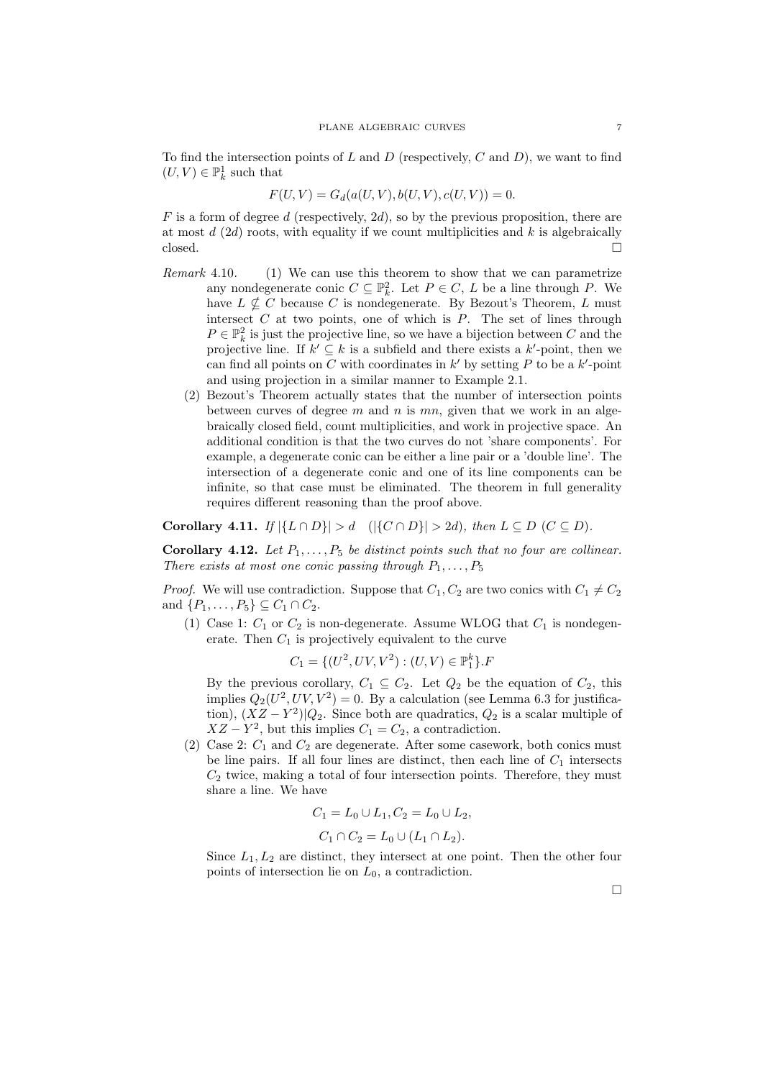To find the intersection points of L and D (respectively, C and D), we want to find  $(U,V)\in \mathbb{P}^1_k$  such that

$$
F(U, V) = G_d(a(U, V), b(U, V), c(U, V)) = 0.
$$

 $F$  is a form of degree d (respectively, 2d), so by the previous proposition, there are at most  $d(2d)$  roots, with equality if we count multiplicities and k is algebraically  $\Box$ closed.

- Remark 4.10. (1) We can use this theorem to show that we can parametrize any nondegenerate conic  $C \subseteq \mathbb{P}_k^2$ . Let  $P \in C$ , L be a line through P. We have  $L \nsubseteq C$  because C is nondegenerate. By Bezout's Theorem, L must intersect  $C$  at two points, one of which is  $P$ . The set of lines through  $P \in \mathbb{P}^2_k$  is just the projective line, so we have a bijection between  $C$  and the projective line. If  $k' \subseteq k$  is a subfield and there exists a  $k'$ -point, then we can find all points on  $C$  with coordinates in  $k'$  by setting  $P$  to be a  $k'$ -point and using projection in a similar manner to Example 2.1.
	- (2) Bezout's Theorem actually states that the number of intersection points between curves of degree  $m$  and  $n$  is  $mn$ , given that we work in an algebraically closed field, count multiplicities, and work in projective space. An additional condition is that the two curves do not 'share components'. For example, a degenerate conic can be either a line pair or a 'double line'. The intersection of a degenerate conic and one of its line components can be infinite, so that case must be eliminated. The theorem in full generality requires different reasoning than the proof above.

Corollary 4.11. If  $|\{L \cap D\}| > d$  ( $|\{C \cap D\}| > 2d$ ), then  $L \subseteq D$  ( $C \subseteq D$ ).

Corollary 4.12. Let  $P_1, \ldots, P_5$  be distinct points such that no four are collinear. There exists at most one conic passing through  $P_1, \ldots, P_5$ 

*Proof.* We will use contradiction. Suppose that  $C_1, C_2$  are two conics with  $C_1 \neq C_2$ and  $\{P_1, \ldots, P_5\} \subseteq C_1 \cap C_2$ .

(1) Case 1:  $C_1$  or  $C_2$  is non-degenerate. Assume WLOG that  $C_1$  is nondegenerate. Then  $C_1$  is projectively equivalent to the curve

$$
C_1 = \{ (U^2, UV, V^2) : (U, V) \in \mathbb{P}_1^k \}.F
$$

By the previous corollary,  $C_1 \subseteq C_2$ . Let  $Q_2$  be the equation of  $C_2$ , this implies  $Q_2(U^2, UV, V^2) = 0$ . By a calculation (see Lemma 6.3 for justification),  $(XZ - Y^2)|Q_2$ . Since both are quadratics,  $Q_2$  is a scalar multiple of  $XZ - Y^2$ , but this implies  $C_1 = C_2$ , a contradiction.

(2) Case 2:  $C_1$  and  $C_2$  are degenerate. After some casework, both conics must be line pairs. If all four lines are distinct, then each line of  $C_1$  intersects  $C_2$  twice, making a total of four intersection points. Therefore, they must share a line. We have

$$
C_1 = L_0 \cup L_1, C_2 = L_0 \cup L_2,
$$
  

$$
C_1 \cap C_2 = L_0 \cup (L_1 \cap L_2).
$$

Since  $L_1, L_2$  are distinct, they intersect at one point. Then the other four points of intersection lie on  $L_0$ , a contradiction.

 $\Box$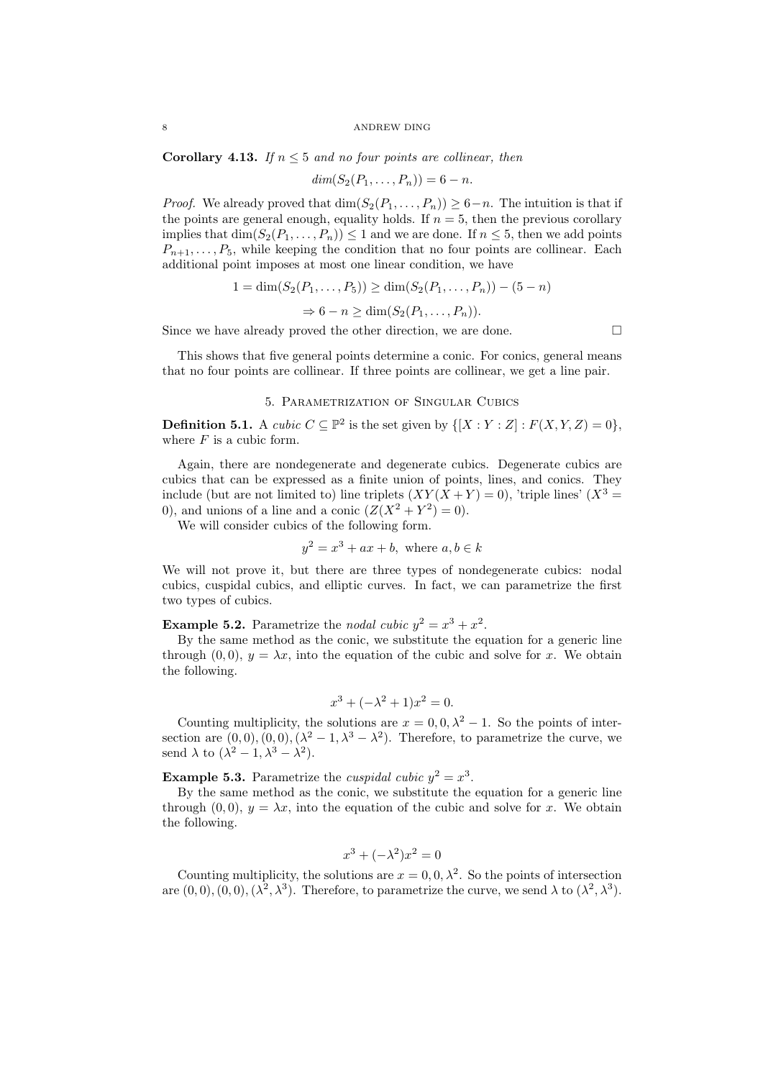**Corollary 4.13.** If  $n \leq 5$  and no four points are collinear, then

$$
dim(S_2(P_1,\ldots,P_n))=6-n.
$$

*Proof.* We already proved that  $\dim(S_2(P_1, \ldots, P_n)) \geq 6-n$ . The intuition is that if the points are general enough, equality holds. If  $n = 5$ , then the previous corollary implies that  $\dim(S_2(P_1, \ldots, P_n)) \leq 1$  and we are done. If  $n \leq 5$ , then we add points  $P_{n+1}, \ldots, P_5$ , while keeping the condition that no four points are collinear. Each additional point imposes at most one linear condition, we have

$$
1 = \dim(S_2(P_1, \dots, P_5)) \ge \dim(S_2(P_1, \dots, P_n)) - (5 - n)
$$

$$
\Rightarrow 6 - n \ge \dim(S_2(P_1, \dots, P_n)).
$$

Since we have already proved the other direction, we are done.  $\Box$ 

This shows that five general points determine a conic. For conics, general means that no four points are collinear. If three points are collinear, we get a line pair.

### 5. Parametrization of Singular Cubics

**Definition 5.1.** A cubic  $C \subseteq \mathbb{P}^2$  is the set given by  $\{[X : Y : Z] : F(X, Y, Z) = 0\},\$ where  $F$  is a cubic form.

Again, there are nondegenerate and degenerate cubics. Degenerate cubics are cubics that can be expressed as a finite union of points, lines, and conics. They include (but are not limited to) line triplets  $(XY(X+Y) = 0)$ , 'triple lines'  $(X^3 =$ 0), and unions of a line and a conic  $(Z(X^2 + Y^2) = 0)$ .

We will consider cubics of the following form.

$$
y^2 = x^3 + ax + b, \text{ where } a, b \in k
$$

We will not prove it, but there are three types of nondegenerate cubics: nodal cubics, cuspidal cubics, and elliptic curves. In fact, we can parametrize the first two types of cubics.

**Example 5.2.** Parametrize the *nodal cubic*  $y^2 = x^3 + x^2$ .

By the same method as the conic, we substitute the equation for a generic line through (0,0),  $y = \lambda x$ , into the equation of the cubic and solve for x. We obtain the following.

$$
x^3 + (-\lambda^2 + 1)x^2 = 0.
$$

Counting multiplicity, the solutions are  $x = 0, 0, \lambda^2 - 1$ . So the points of intersection are  $(0,0), (0,0), (\lambda^2-1,\lambda^3-\lambda^2)$ . Therefore, to parametrize the curve, we send  $\lambda$  to  $(\lambda^2 - 1, \lambda^3 - \lambda^2)$ .

**Example 5.3.** Parametrize the *cuspidal cubic*  $y^2 = x^3$ .

By the same method as the conic, we substitute the equation for a generic line through  $(0, 0)$ ,  $y = \lambda x$ , into the equation of the cubic and solve for x. We obtain the following.

$$
x^3 + (-\lambda^2)x^2 = 0
$$

Counting multiplicity, the solutions are  $x = 0, 0, \lambda^2$ . So the points of intersection are  $(0,0), (0,0), (\lambda^2, \lambda^3)$ . Therefore, to parametrize the curve, we send  $\lambda$  to  $(\lambda^2, \lambda^3)$ .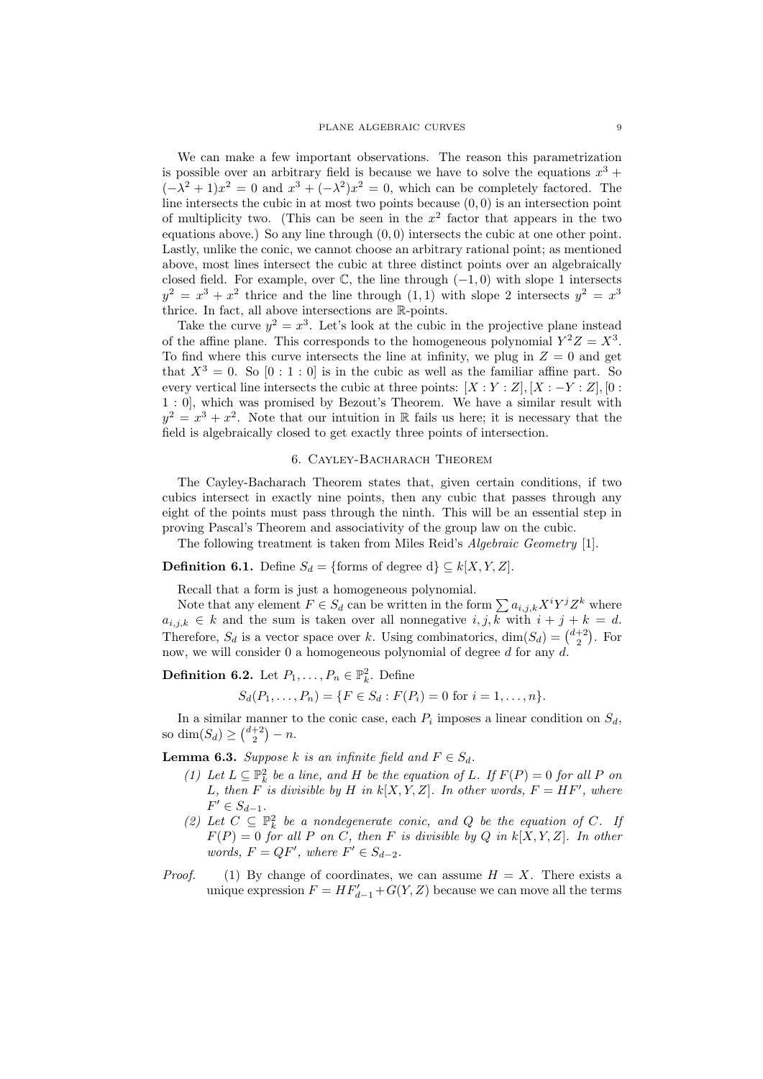We can make a few important observations. The reason this parametrization is possible over an arbitrary field is because we have to solve the equations  $x^3 +$  $(-\lambda^2 + 1)x^2 = 0$  and  $x^3 + (-\lambda^2)x^2 = 0$ , which can be completely factored. The line intersects the cubic in at most two points because  $(0, 0)$  is an intersection point of multiplicity two. (This can be seen in the  $x^2$  factor that appears in the two equations above.) So any line through (0, 0) intersects the cubic at one other point. Lastly, unlike the conic, we cannot choose an arbitrary rational point; as mentioned above, most lines intersect the cubic at three distinct points over an algebraically closed field. For example, over  $\mathbb{C}$ , the line through  $(-1, 0)$  with slope 1 intersects  $y^2 = x^3 + x^2$  thrice and the line through  $(1,1)$  with slope 2 intersects  $y^2 = x^3$ thrice. In fact, all above intersections are  $\mathbb R\text{-points}.$ 

Take the curve  $y^2 = x^3$ . Let's look at the cubic in the projective plane instead of the affine plane. This corresponds to the homogeneous polynomial  $Y^2Z = X^3$ . To find where this curve intersects the line at infinity, we plug in  $Z = 0$  and get that  $X^3 = 0$ . So  $[0:1:0]$  is in the cubic as well as the familiar affine part. So every vertical line intersects the cubic at three points:  $[X:Y:Z], [X:-Y:Z], [0:$ 1 : 0], which was promised by Bezout's Theorem. We have a similar result with  $y^2 = x^3 + x^2$ . Note that our intuition in R fails us here; it is necessary that the field is algebraically closed to get exactly three points of intersection.

## 6. Cayley-Bacharach Theorem

The Cayley-Bacharach Theorem states that, given certain conditions, if two cubics intersect in exactly nine points, then any cubic that passes through any eight of the points must pass through the ninth. This will be an essential step in proving Pascal's Theorem and associativity of the group law on the cubic.

The following treatment is taken from Miles Reid's Algebraic Geometry [1].

**Definition 6.1.** Define  $S_d = \{\text{forms of degree d}\}\subseteq k[X, Y, Z].$ 

Recall that a form is just a homogeneous polynomial.

Note that any element  $F \in S_d$  can be written in the form  $\sum a_{i,j,k} X^i Y^j Z^k$  where  $a_{i,j,k} \in k$  and the sum is taken over all nonnegative  $i, j, k$  with  $i + j + k = d$ . Therefore,  $S_d$  is a vector space over k. Using combinatorics,  $\dim(S_d) = \binom{d+2}{2}$ . For now, we will consider 0 a homogeneous polynomial of degree d for any  $d$ .

**Definition 6.2.** Let  $P_1, \ldots, P_n \in \mathbb{P}^2_k$ . Define

$$
S_d(P_1,\ldots,P_n) = \{F \in S_d : F(P_i) = 0 \text{ for } i = 1,\ldots,n\}.
$$

In a similar manner to the conic case, each  $P_i$  imposes a linear condition on  $S_d$ , so  $\dim(S_d) \geq {d+2 \choose 2} - n$ .

**Lemma 6.3.** Suppose k is an infinite field and  $F \in S_d$ .

- (1) Let  $L \subseteq \mathbb{P}^2_k$  be a line, and H be the equation of L. If  $F(P) = 0$  for all P on L, then F is divisible by H in  $k[X, Y, Z]$ . In other words,  $F = HF'$ , where  $F' \in S_{d-1}.$
- (2) Let  $C \subseteq \mathbb{P}^2_k$  be a nondegenerate conic, and Q be the equation of C. If  $F(P) = 0$  for all P on C, then F is divisible by Q in k[X, Y, Z]. In other words,  $F = QF'$ , where  $F' \in S_{d-2}$ .
- *Proof.* (1) By change of coordinates, we can assume  $H = X$ . There exists a unique expression  $F = HF'_{d-1} + G(Y, Z)$  because we can move all the terms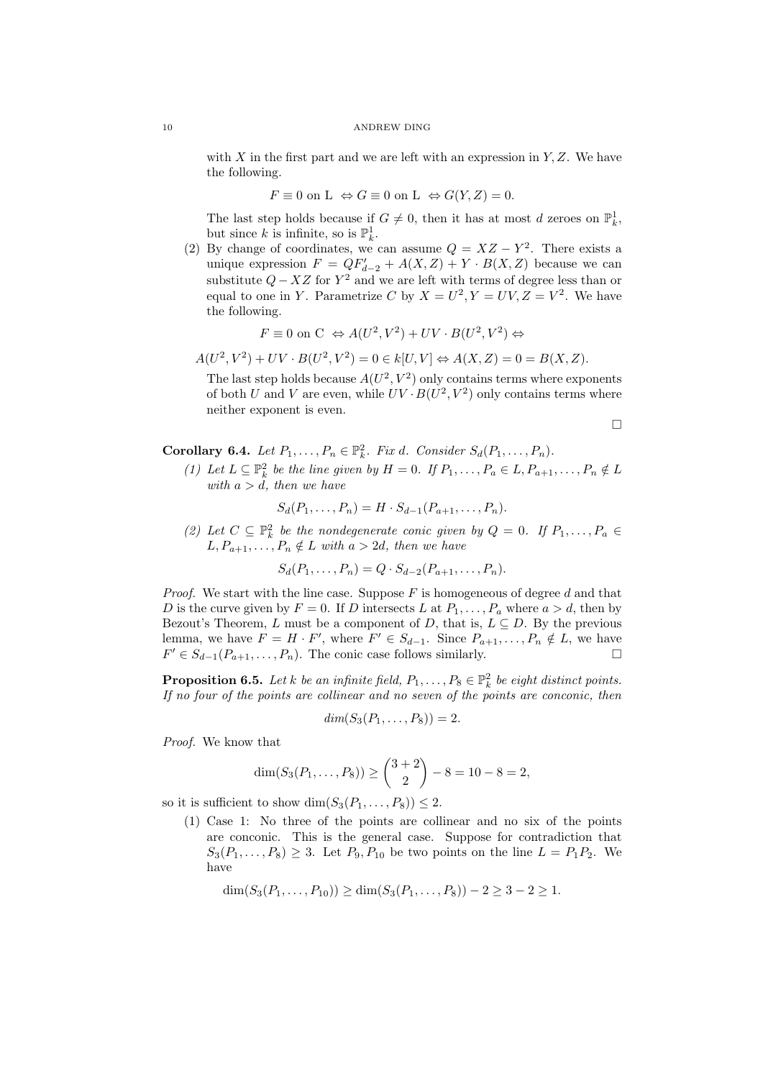with X in the first part and we are left with an expression in  $Y, Z$ . We have the following.

$$
F \equiv 0 \text{ on L } \Leftrightarrow G \equiv 0 \text{ on L } \Leftrightarrow G(Y, Z) = 0.
$$

The last step holds because if  $G \neq 0$ , then it has at most d zeroes on  $\mathbb{P}^1_k$ , but since k is infinite, so is  $\mathbb{P}_k^1$ .

(2) By change of coordinates, we can assume  $Q = XZ - Y^2$ . There exists a unique expression  $F = QF'_{d-2} + A(X, Z) + Y \cdot B(X, Z)$  because we can substitute  $Q - XZ$  for  $Y^2$  and we are left with terms of degree less than or equal to one in Y. Parametrize C by  $X = U^2, Y = UV, Z = V^2$ . We have the following.

$$
F \equiv 0 \text{ on } C \Leftrightarrow A(U^2, V^2) + UV \cdot B(U^2, V^2) \Leftrightarrow
$$

 $A(U^2, V^2) + UV \cdot B(U^2, V^2) = 0 \in k[U, V] \Leftrightarrow A(X, Z) = 0 = B(X, Z).$ 

The last step holds because  $A(U^2, V^2)$  only contains terms where exponents of both U and V are even, while  $UV \cdot B(U^2, V^2)$  only contains terms where neither exponent is even.

 $\Box$ 

Corollary 6.4. Let  $P_1, \ldots, P_n \in \mathbb{P}^2_k$ . Fix d. Consider  $S_d(P_1, \ldots, P_n)$ .

(1) Let  $L \subseteq \mathbb{P}^2_k$  be the line given by  $H = 0$ . If  $P_1, \ldots, P_a \in L, P_{a+1}, \ldots, P_n \notin L$ with  $a > d$ , then we have

$$
S_d(P_1, \ldots, P_n) = H \cdot S_{d-1}(P_{a+1}, \ldots, P_n).
$$

(2) Let  $C \subseteq \mathbb{P}^2_k$  be the nondegenerate conic given by  $Q = 0$ . If  $P_1, \ldots, P_a \in$  $L, P_{a+1}, \ldots, P_n \notin L$  with  $a > 2d$ , then we have

$$
S_d(P_1, \ldots, P_n) = Q \cdot S_{d-2}(P_{a+1}, \ldots, P_n).
$$

*Proof.* We start with the line case. Suppose  $F$  is homogeneous of degree d and that D is the curve given by  $F = 0$ . If D intersects L at  $P_1, \ldots, P_a$  where  $a > d$ , then by Bezout's Theorem, L must be a component of D, that is,  $L \subseteq D$ . By the previous lemma, we have  $F = H \cdot F'$ , where  $F' \in S_{d-1}$ . Since  $P_{a+1}, \ldots, P_n \notin L$ , we have  $F' \in S_{d-1}(P_{a+1}, \ldots, P_n)$ . The conic case follows similarly.

**Proposition 6.5.** Let k be an infinite field,  $P_1, \ldots, P_8 \in \mathbb{P}^2_k$  be eight distinct points. If no four of the points are collinear and no seven of the points are conconic, then

$$
dim(S_3(P_1,\ldots,P_8))=2.
$$

Proof. We know that

$$
\dim(S_3(P_1,\ldots,P_8))\geq \binom{3+2}{2}-8=10-8=2,
$$

so it is sufficient to show  $\dim(S_3(P_1, \ldots, P_8)) \leq 2$ .

(1) Case 1: No three of the points are collinear and no six of the points are conconic. This is the general case. Suppose for contradiction that  $S_3(P_1, ..., P_8) \geq 3$ . Let  $P_9, P_{10}$  be two points on the line  $L = P_1 P_2$ . We have

$$
\dim(S_3(P_1,\ldots,P_{10})) \ge \dim(S_3(P_1,\ldots,P_8)) - 2 \ge 3 - 2 \ge 1.
$$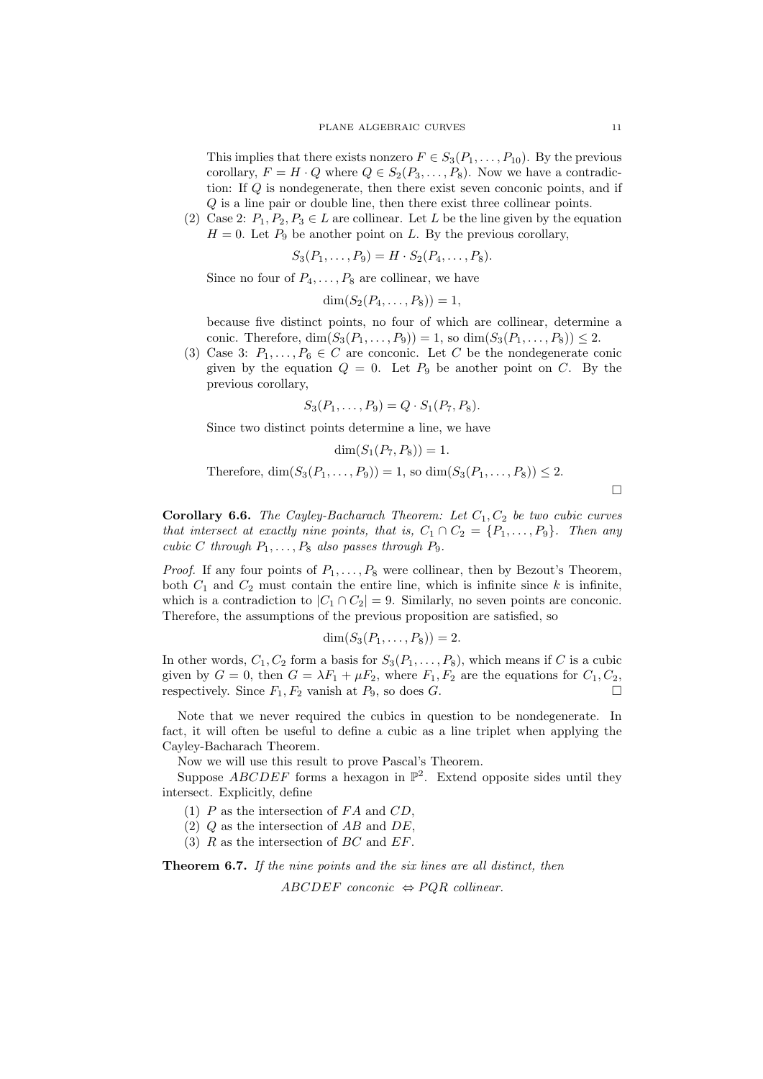This implies that there exists nonzero  $F \in S_3(P_1, \ldots, P_{10})$ . By the previous corollary,  $F = H \cdot Q$  where  $Q \in S_2(P_3, \ldots, P_8)$ . Now we have a contradiction: If Q is nondegenerate, then there exist seven conconic points, and if Q is a line pair or double line, then there exist three collinear points.

(2) Case 2:  $P_1, P_2, P_3 \in L$  are collinear. Let L be the line given by the equation  $H = 0$ . Let  $P_9$  be another point on L. By the previous corollary,

$$
S_3(P_1,\ldots,P_9) = H \cdot S_2(P_4,\ldots,P_8).
$$

Since no four of  $P_4, \ldots, P_8$  are collinear, we have

$$
\dim(S_2(P_4,\ldots,P_8))=1,
$$

because five distinct points, no four of which are collinear, determine a conic. Therefore,  $\dim(S_3(P_1, ..., P_9)) = 1$ , so  $\dim(S_3(P_1, ..., P_8)) \leq 2$ .

(3) Case 3:  $P_1, \ldots, P_6 \in C$  are conconic. Let C be the nondegenerate conic given by the equation  $Q = 0$ . Let  $P_9$  be another point on C. By the previous corollary,

$$
S_3(P_1,\ldots,P_9)=Q\cdot S_1(P_7,P_8).
$$

Since two distinct points determine a line, we have

$$
\dim(S_1(P_7, P_8)) = 1.
$$

Therefore,  $\dim(S_3(P_1, ..., P_9)) = 1$ , so  $\dim(S_3(P_1, ..., P_8)) \leq 2$ .

 $\Box$ 

**Corollary 6.6.** The Cayley-Bacharach Theorem: Let  $C_1$ ,  $C_2$  be two cubic curves that intersect at exactly nine points, that is,  $C_1 \cap C_2 = \{P_1, \ldots, P_9\}$ . Then any cubic C through  $P_1, \ldots, P_8$  also passes through  $P_9$ .

*Proof.* If any four points of  $P_1, \ldots, P_8$  were collinear, then by Bezout's Theorem, both  $C_1$  and  $C_2$  must contain the entire line, which is infinite since k is infinite. which is a contradiction to  $|C_1 \cap C_2| = 9$ . Similarly, no seven points are conconic. Therefore, the assumptions of the previous proposition are satisfied, so

$$
\dim(S_3(P_1,\ldots,P_8))=2.
$$

In other words,  $C_1, C_2$  form a basis for  $S_3(P_1, \ldots, P_8)$ , which means if C is a cubic given by  $G = 0$ , then  $G = \lambda F_1 + \mu F_2$ , where  $F_1, F_2$  are the equations for  $C_1, C_2$ , respectively. Since  $F_1, F_2$  vanish at  $P_9$ , so does  $G$ .

Note that we never required the cubics in question to be nondegenerate. In fact, it will often be useful to define a cubic as a line triplet when applying the Cayley-Bacharach Theorem.

Now we will use this result to prove Pascal's Theorem.

Suppose  $ABCDEF$  forms a hexagon in  $\mathbb{P}^2$ . Extend opposite sides until they intersect. Explicitly, define

(1)  $P$  as the intersection of  $FA$  and  $CD$ ,

(2)  $Q$  as the intersection of  $AB$  and  $DE$ .

(3)  $R$  as the intersection of  $BC$  and  $EF$ .

Theorem 6.7. If the nine points and the six lines are all distinct, then

ABCDEF conconic  $\Leftrightarrow$  PQR collinear.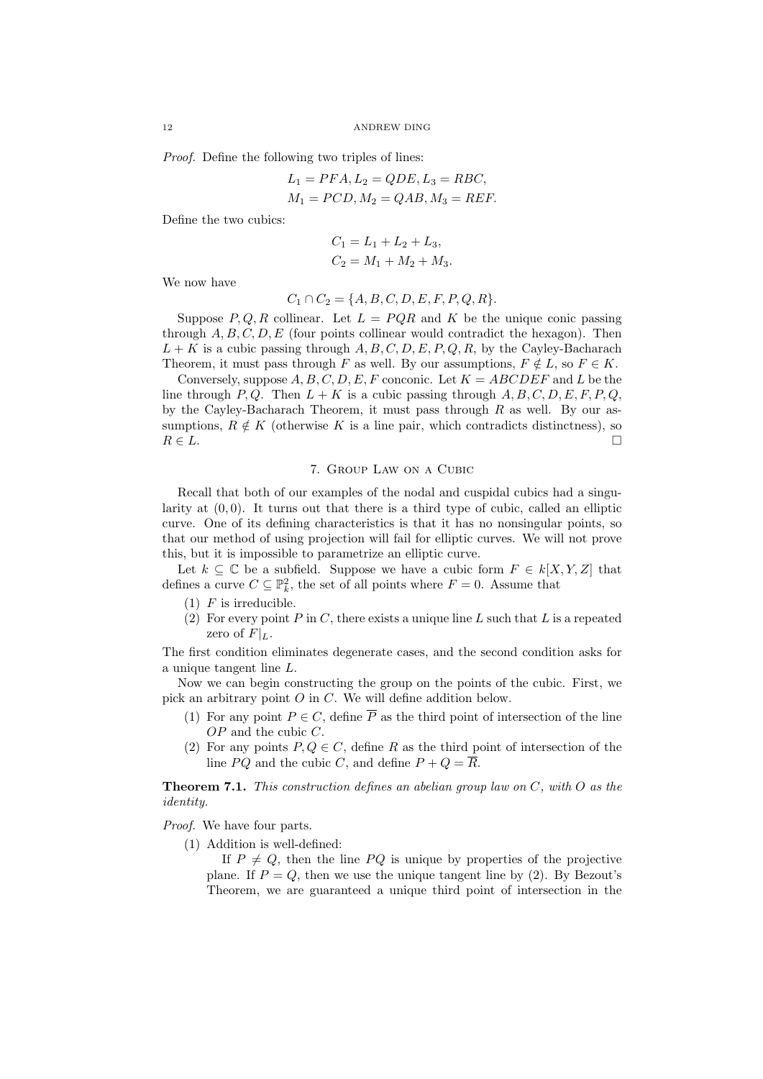Proof. Define the following two triples of lines:

$$
L_1 = PFA, L_2 = QDE, L_3 = RBC,
$$
  

$$
M_1 = PCD, M_2 = QAB, M_3 = REF.
$$

Define the two cubics:

$$
C_1 = L_1 + L_2 + L_3,
$$
  
\n
$$
C_2 = M_1 + M_2 + M_3.
$$

We now have

$$
C_1 \cap C_2 = \{A, B, C, D, E, F, P, Q, R\}.
$$

Suppose  $P, Q, R$  collinear. Let  $L = PQR$  and K be the unique conic passing through  $A, B, C, D, E$  (four points collinear would contradict the hexagon). Then  $L + K$  is a cubic passing through A, B, C, D, E, P, O, R, by the Cayley-Bacharach Theorem, it must pass through F as well. By our assumptions,  $F \notin L$ , so  $F \in K$ .

Conversely, suppose  $A, B, C, D, E, F$  conconic. Let  $K = ABCDEF$  and L be the line through P, Q. Then  $L + K$  is a cubic passing through  $A, B, C, D, E, F, P, Q$ , by the Cayley-Bacharach Theorem, it must pass through  $R$  as well. By our assumptions,  $R \notin K$  (otherwise K is a line pair, which contradicts distinctness), so  $R \in L$ .

## 7. Group Law on a Cubic

Recall that both of our examples of the nodal and cuspidal cubics had a singularity at  $(0, 0)$ . It turns out that there is a third type of cubic, called an elliptic curve. One of its defining characteristics is that it has no nonsingular points, so that our method of using projection will fail for elliptic curves. We will not prove this, but it is impossible to parametrize an elliptic curve.

Let  $k \subseteq \mathbb{C}$  be a subfield. Suppose we have a cubic form  $F \in k[X, Y, Z]$  that defines a curve  $C \subseteq \mathbb{P}^2_k$ , the set of all points where  $F = 0$ . Assume that

- $(1)$  F is irreducible.
- (2) For every point P in C, there exists a unique line L such that L is a repeated zero of  $F|_L$ .

The first condition eliminates degenerate cases, and the second condition asks for a unique tangent line  $L$ .

Now we can begin constructing the group on the points of the cubic. First, we pick an arbitrary point O in C. We will define addition below.

- (1) For any point  $P \in C$ , define  $\overline{P}$  as the third point of intersection of the line OP and the cubic C.
- (2) For any points  $P, Q \in \mathbb{C}$ , define R as the third point of intersection of the line PQ and the cubic C, and define  $P + Q = \overline{R}$ .

**Theorem 7.1.** This construction defines an abelian group law on  $C$ , with  $O$  as the identity.

Proof. We have four parts.

(1) Addition is well-defined:

If  $P \neq Q$ , then the line PQ is unique by properties of the projective plane. If  $P = Q$ , then we use the unique tangent line by (2). By Bezout's Theorem, we are guaranteed a unique third point of intersection in the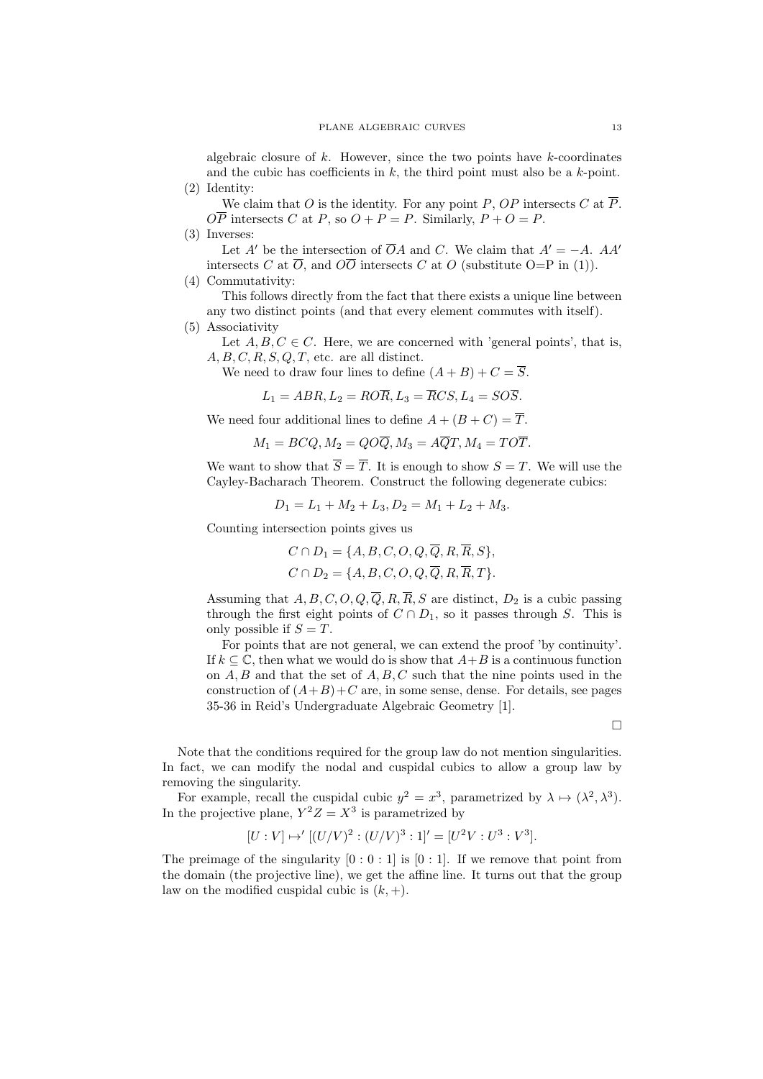algebraic closure of  $k$ . However, since the two points have  $k$ -coordinates and the cubic has coefficients in  $k$ , the third point must also be a  $k$ -point. (2) Identity:

We claim that O is the identity. For any point P, OP intersects C at  $\overline{P}$ .  $\overline{OP}$  intersects C at P, so  $O + P = P$ . Similarly,  $P + O = P$ .

(3) Inverses:

Let A' be the intersection of  $\overline{O}A$  and C. We claim that  $A' = -A$ . AA' intersects C at  $\overline{O}$ , and  $\overline{O}\overline{O}$  intersects C at O (substitute  $O=P$  in (1)).

(4) Commutativity:

This follows directly from the fact that there exists a unique line between any two distinct points (and that every element commutes with itself).

(5) Associativity

Let  $A, B, C \in \mathbb{C}$ . Here, we are concerned with 'general points', that is,  $A, B, C, R, S, Q, T$ , etc. are all distinct.

We need to draw four lines to define  $(A + B) + C = \overline{S}$ .

$$
L_1 = ABR, L_2 = RO\overline{R}, L_3 = \overline{R}CS, L_4 = SO\overline{S}.
$$

We need four additional lines to define  $A + (B + C) = \overline{T}$ .

$$
M_1 = BCQ, M_2 = QO\overline{Q}, M_3 = A\overline{Q}T, M_4 = TO\overline{T}.
$$

We want to show that  $\overline{S} = \overline{T}$ . It is enough to show  $S = T$ . We will use the Cayley-Bacharach Theorem. Construct the following degenerate cubics:

$$
D_1 = L_1 + M_2 + L_3, D_2 = M_1 + L_2 + M_3.
$$

Counting intersection points gives us

$$
C \cap D_1 = \{A, B, C, O, Q, Q, R, R, S\},\
$$

$$
C \cap D_2 = \{A, B, C, O, Q, \overline{Q}, R, \overline{R}, T\}.
$$

Assuming that  $A, B, C, O, Q, \overline{Q}, R, \overline{R}, S$  are distinct,  $D_2$  is a cubic passing through the first eight points of  $C \cap D_1$ , so it passes through S. This is only possible if  $S = T$ .

For points that are not general, we can extend the proof 'by continuity'. If  $k \subset \mathbb{C}$ , then what we would do is show that  $A+B$  is a continuous function on  $A, B$  and that the set of  $A, B, C$  such that the nine points used in the construction of  $(A+B)+C$  are, in some sense, dense. For details, see pages 35-36 in Reid's Undergraduate Algebraic Geometry [1].

 $\Box$ 

Note that the conditions required for the group law do not mention singularities. In fact, we can modify the nodal and cuspidal cubics to allow a group law by removing the singularity.

For example, recall the cuspidal cubic  $y^2 = x^3$ , parametrized by  $\lambda \mapsto (\lambda^2, \lambda^3)$ . In the projective plane,  $Y^2Z = X^3$  is parametrized by

$$
[U:V] \mapsto '[(U/V)^2:(U/V)^3:1]' = [U^2V:U^3:V^3].
$$

The preimage of the singularity  $[0:0:1]$  is  $[0:1]$ . If we remove that point from the domain (the projective line), we get the affine line. It turns out that the group law on the modified cuspidal cubic is  $(k, +)$ .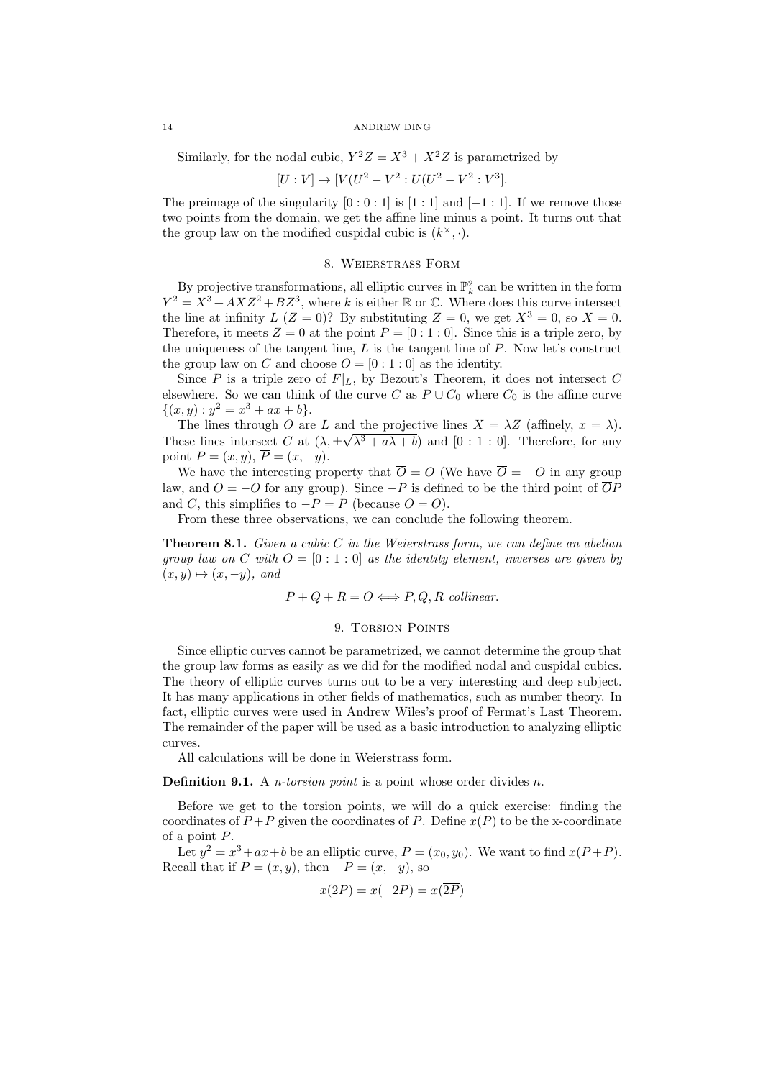Similarly, for the nodal cubic,  $Y^2Z = X^3 + X^2Z$  is parametrized by

 $[U:V] \mapsto [V(U^2 - V^2:U(U^2 - V^2:V^3]).$ 

The preimage of the singularity  $[0:0:1]$  is  $[1:1]$  and  $[-1:1]$ . If we remove those two points from the domain, we get the affine line minus a point. It turns out that the group law on the modified cuspidal cubic is  $(k^{\times}, \cdot)$ .

# 8. Weierstrass Form

By projective transformations, all elliptic curves in  $\mathbb{P}_k^2$  can be written in the form By projective transformations, an empire curves in  $\mathbb{F}_k$  can be written in the form<br> $Y^2 = X^3 + AXZ^2 + BZ^3$ , where k is either R or C. Where does this curve intersect the line at infinity  $L (Z = 0)$ ? By substituting  $Z = 0$ , we get  $X^3 = 0$ , so  $X = 0$ . Therefore, it meets  $Z = 0$  at the point  $P = [0:1:0]$ . Since this is a triple zero, by the uniqueness of the tangent line,  $L$  is the tangent line of  $P$ . Now let's construct the group law on C and choose  $O = [0:1:0]$  as the identity.

Since P is a triple zero of  $F|_L$ , by Bezout's Theorem, it does not intersect C elsewhere. So we can think of the curve C as  $P \cup C_0$  where  $C_0$  is the affine curve  $\{(x, y) : y^2 = x^3 + ax + b\}.$ 

The lines through O are L and the projective lines  $X = \lambda Z$  (affinely,  $x = \lambda$ ). These lines intersect C at  $(\lambda, \pm \sqrt{\lambda^3 + a\lambda + b})$  and  $[0 : 1 : 0]$ . Therefore, for any point  $P = (x, y), \overline{P} = (x, -y).$ 

We have the interesting property that  $\overline{O} = O$  (We have  $\overline{O} = -O$  in any group law, and  $O = -O$  for any group). Since  $-P$  is defined to be the third point of  $\overline{O}P$ and C, this simplifies to  $-P = \overline{P}$  (because  $O = \overline{O}$ ).

From these three observations, we can conclude the following theorem.

**Theorem 8.1.** Given a cubic C in the Weierstrass form, we can define an abelian group law on C with  $O = [0:1:0]$  as the identity element, inverses are given by  $(x, y) \mapsto (x, -y),$  and

$$
P + Q + R = O \Longleftrightarrow P, Q, R
$$
 collinear.

### 9. TORSION POINTS

Since elliptic curves cannot be parametrized, we cannot determine the group that the group law forms as easily as we did for the modified nodal and cuspidal cubics. The theory of elliptic curves turns out to be a very interesting and deep subject. It has many applications in other fields of mathematics, such as number theory. In fact, elliptic curves were used in Andrew Wiles's proof of Fermat's Last Theorem. The remainder of the paper will be used as a basic introduction to analyzing elliptic curves.

All calculations will be done in Weierstrass form.

**Definition 9.1.** A *n*-torsion point is a point whose order divides *n*.

Before we get to the torsion points, we will do a quick exercise: finding the coordinates of  $P + P$  given the coordinates of P. Define  $x(P)$  to be the x-coordinate of a point P.

Let  $y^2 = x^3 + ax + b$  be an elliptic curve,  $P = (x_0, y_0)$ . We want to find  $x(P + P)$ . Recall that if  $P = (x, y)$ , then  $-P = (x, -y)$ , so

$$
x(2P) = x(-2P) = x(\overline{2P})
$$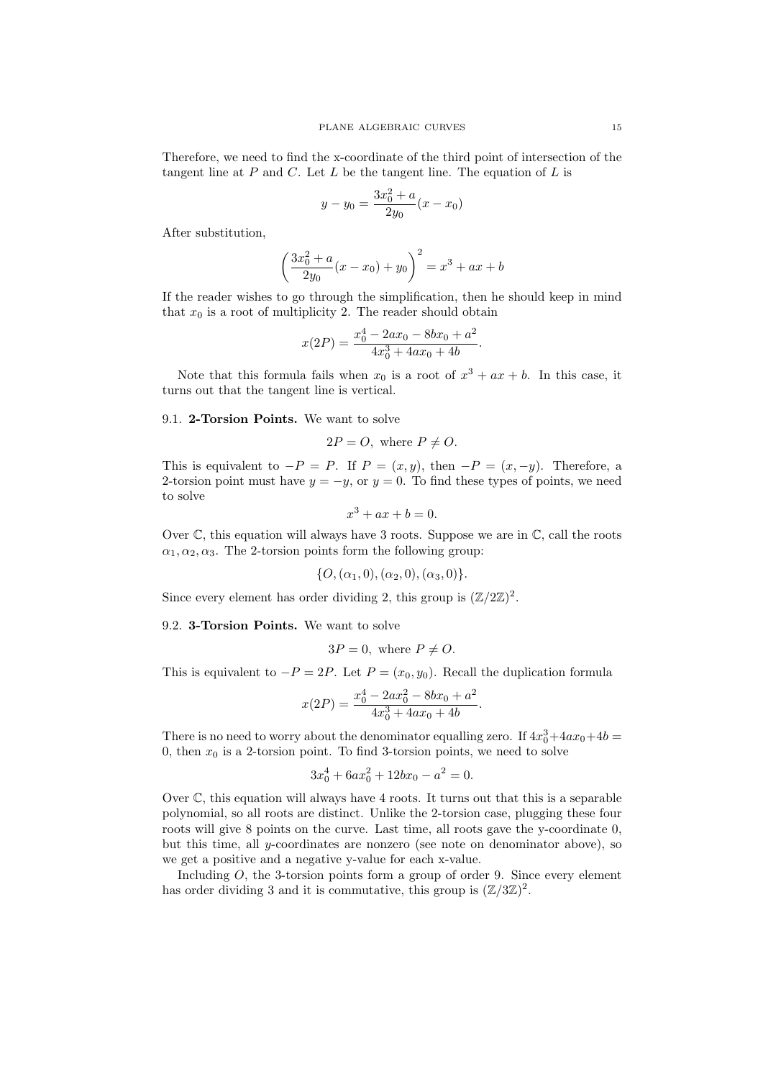Therefore, we need to find the x-coordinate of the third point of intersection of the tangent line at  $P$  and  $C$ . Let  $L$  be the tangent line. The equation of  $L$  is

$$
y - y_0 = \frac{3x_0^2 + a}{2y_0}(x - x_0)
$$

After substitution,

$$
\left(\frac{3x_0^2 + a}{2y_0}(x - x_0) + y_0\right)^2 = x^3 + ax + b
$$

If the reader wishes to go through the simplification, then he should keep in mind that  $x_0$  is a root of multiplicity 2. The reader should obtain

$$
x(2P) = \frac{x_0^4 - 2ax_0 - 8bx_0 + a^2}{4x_0^3 + 4ax_0 + 4b}.
$$

Note that this formula fails when  $x_0$  is a root of  $x^3 + ax + b$ . In this case, it turns out that the tangent line is vertical.

9.1. 2-Torsion Points. We want to solve

$$
2P = O
$$
, where  $P \neq O$ .

This is equivalent to  $-P = P$ . If  $P = (x, y)$ , then  $-P = (x, -y)$ . Therefore, a 2-torsion point must have  $y = -y$ , or  $y = 0$ . To find these types of points, we need to solve

$$
x^3 + ax + b = 0.
$$

Over  $\mathbb C$ , this equation will always have 3 roots. Suppose we are in  $\mathbb C$ , call the roots  $\alpha_1, \alpha_2, \alpha_3$ . The 2-torsion points form the following group:

$$
\{O, (\alpha_1, 0), (\alpha_2, 0), (\alpha_3, 0)\}.
$$

Since every element has order dividing 2, this group is  $(\mathbb{Z}/2\mathbb{Z})^2$ .

9.2. 3-Torsion Points. We want to solve

$$
3P = 0
$$
, where  $P \neq O$ .

This is equivalent to  $-P = 2P$ . Let  $P = (x_0, y_0)$ . Recall the duplication formula

$$
x(2P) = \frac{x_0^4 - 2ax_0^2 - 8bx_0 + a^2}{4x_0^3 + 4ax_0 + 4b}.
$$

There is no need to worry about the denominator equalling zero. If  $4x_0^3+4ax_0+4b=$ 0, then  $x_0$  is a 2-torsion point. To find 3-torsion points, we need to solve

$$
3x_0^4 + 6ax_0^2 + 12bx_0 - a^2 = 0.
$$

Over  $\mathbb C$ , this equation will always have 4 roots. It turns out that this is a separable polynomial, so all roots are distinct. Unlike the 2-torsion case, plugging these four roots will give 8 points on the curve. Last time, all roots gave the y-coordinate 0, but this time, all y-coordinates are nonzero (see note on denominator above), so we get a positive and a negative y-value for each x-value.

Including  $O$ , the 3-torsion points form a group of order 9. Since every element has order dividing 3 and it is commutative, this group is  $(\mathbb{Z}/3\mathbb{Z})^2$ .